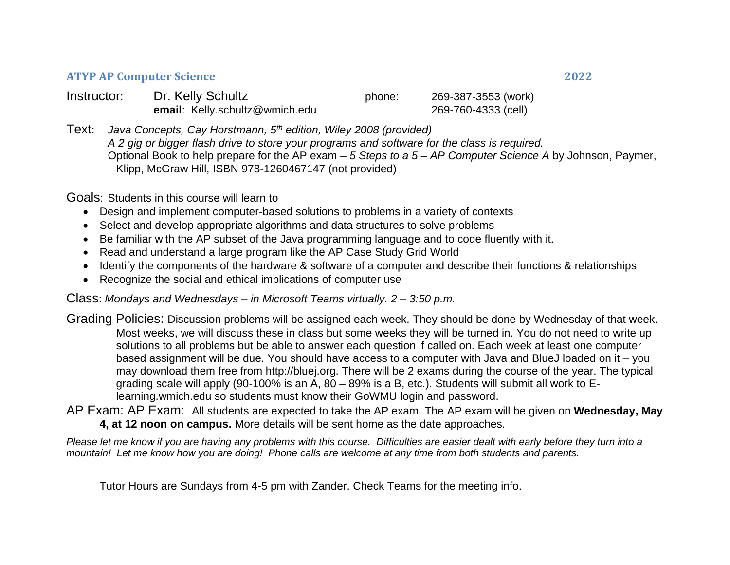## **ATYP AP Computer Science 2022**

| Instructor: | Dr. Kelly Schultz              | phone: | 269-387-3553 (work) |
|-------------|--------------------------------|--------|---------------------|
|             | email: Kelly.schultz@wmich.edu |        | 269-760-4333 (cell) |

Text: *Java Concepts, Cay Horstmann, 5 th edition, Wiley 2008 (provided) A 2 gig or bigger flash drive to store your programs and software for the class is required.* Optional Book to help prepare for the AP exam – *5 Steps to a 5 – AP Computer Science A* by Johnson, Paymer, Klipp, McGraw Hill, ISBN 978-1260467147 (not provided)

Goals: Students in this course will learn to

- Design and implement computer-based solutions to problems in a variety of contexts
- Select and develop appropriate algorithms and data structures to solve problems
- Be familiar with the AP subset of the Java programming language and to code fluently with it.
- Read and understand a large program like the AP Case Study Grid World
- Identify the components of the hardware & software of a computer and describe their functions & relationships
- Recognize the social and ethical implications of computer use

Class: *Mondays and Wednesdays – in Microsoft Teams virtually. 2 – 3:50 p.m.* 

Grading Policies: Discussion problems will be assigned each week. They should be done by Wednesday of that week. Most weeks, we will discuss these in class but some weeks they will be turned in. You do not need to write up solutions to all problems but be able to answer each question if called on. Each week at least one computer based assignment will be due. You should have access to a computer with Java and BlueJ loaded on it – you may download them free from http://bluej.org. There will be 2 exams during the course of the year. The typical grading scale will apply (90-100% is an A, 80 – 89% is a B, etc.). Students will submit all work to Elearning.wmich.edu so students must know their GoWMU login and password.

AP Exam: AP Exam: All students are expected to take the AP exam. The AP exam will be given on **Wednesday, May 4, at 12 noon on campus.** More details will be sent home as the date approaches.

*Please let me know if you are having any problems with this course. Difficulties are easier dealt with early before they turn into a mountain! Let me know how you are doing! Phone calls are welcome at any time from both students and parents.*

Tutor Hours are Sundays from 4-5 pm with Zander. Check Teams for the meeting info.